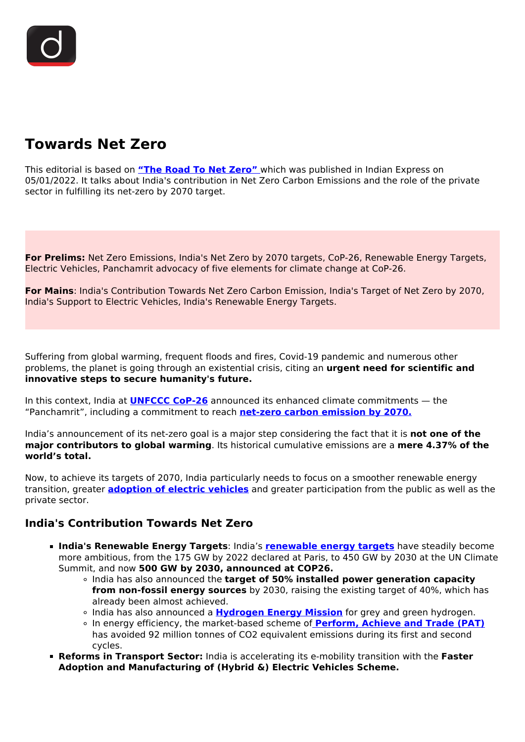# **Towards Net Zero**

This editorial is based on **["The Road To Net Zero"](https://indianexpress.com/article/opinion/columns/a-partnership-to-carry-india-into-net-zero-future-7706604/lite/)** which was published in Indian Express on 05/01/2022. It talks about India's contribution in Net Zero Carbon Emissions and the role of the private sector in fulfilling its net-zero by 2070 target.

**For Prelims:** Net Zero Emissions, India's Net Zero by 2070 targets, CoP-26, Renewable Energy Targets, Electric Vehicles, Panchamrit advocacy of five elements for climate change at CoP-26.

**For Mains**: India's Contribution Towards Net Zero Carbon Emission, India's Target of Net Zero by 2070, India's Support to Electric Vehicles, India's Renewable Energy Targets.

Suffering from global warming, frequent floods and fires, Covid-19 pandemic and numerous other problems, the planet is going through an existential crisis, citing an **urgent need for scientific and innovative steps to secure humanity's future.**

In this context, India at **[UNFCCC CoP-26](/daily-updates/daily-news-analysis/new-pledges-at-cop26-summit)** announced its enhanced climate commitments — the "Panchamrit", including a commitment to reach **[net-zero carbon emission by 2070.](/daily-updates/daily-news-analysis/india-to-reach-carbon-neutrality-by-2070#:~:text=India%27s%20Net%20Zero%20target%20of,it%20is%20along%20expected%20lines.&text=In%20its%20climate%20action%20plan,2030%20compared%20to%202005%20levels.)**

India's announcement of its net-zero goal is a major step considering the fact that it is **not one of the major contributors to global warming**. Its historical cumulative emissions are a **mere 4.37% of the world's total.**

Now, to achieve its targets of 2070, India particularly needs to focus on a smoother renewable energy transition, greater **[adoption of electric vehicles](/daily-updates/daily-news-editorials/electric-vehicles-india-s-future#:~:text=Electric%20Vehicles%20and%20India&text=About%20two%20in%20every%20hundred,2.6%25%20of%20global%20car%20sales.)** and greater participation from the public as well as the private sector.

#### **India's Contribution Towards Net Zero**

- **India's Renewable Energy Targets**: India's **[renewable energy targets](/daily-updates/daily-news-analysis/india-s-achievements-of-renewable-energy-target#:~:text=The%20country%27s%20installed%20Renewable%20Energy,capacity%20stands%20at%206.78%20GW.)** have steadily become more ambitious, from the 175 GW by 2022 declared at Paris, to 450 GW by 2030 at the UN Climate Summit, and now **500 GW by 2030, announced at COP26.**
	- India has also announced the **target of 50% installed power generation capacity from non-fossil energy sources** by 2030, raising the existing target of 40%, which has already been almost achieved.
	- India has also announced a **[Hydrogen Energy Mission](/daily-updates/daily-news-analysis/national-hydrogen-energy-mission)** for grey and green hydrogen.
	- In energy efficiency, the market-based scheme of **[Perform, Achieve and Trade \(PAT\)](/daily-updates/daily-news-analysis/perform-achieve-and-trade-scheme#:~:text=It%20is%20a%20market%2Dbased,National%20Mission%20of%20Energy%20Efficiency.)** has avoided 92 million tonnes of CO2 equivalent emissions during its first and second cycles.
- **Reforms in Transport Sector:** India is accelerating its e-mobility transition with the **Faster Adoption and Manufacturing of (Hybrid &) Electric Vehicles Scheme.**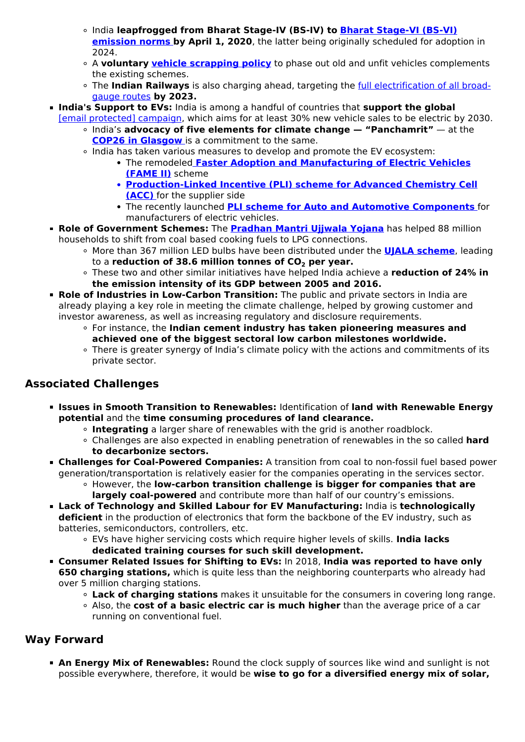- India **leapfrogged from Bharat Stage-IV (BS-IV) to [Bharat Stage-VI \(BS-VI\)](/daily-updates/daily-news-analysis/flex-fuel-vehicles) [emission norms](/daily-updates/daily-news-analysis/flex-fuel-vehicles) [b](/daily-updates/daily-news-analysis/flex-fuel-vehicles)y April 1, 2020**, the latter being originally scheduled for adoption in 2024.
- A **voluntary [vehicle scrapping policy](/daily-updates/daily-news-analysis/vehicle-scrapping-policy)** to phase out old and unfit vehicles complements the existing schemes.
- The **Indian Railways** is also charging ahead, targeting the [full electrification of all broad](/daily-updates/daily-news-analysis/indian-railway-to-be-net-zero-emitter-by-2030#:~:text=Recently%2C%20Indian%20Railways%20(IR),and%20reducing%20its%20energy%20consumption.)[gauge routes](/daily-updates/daily-news-analysis/indian-railway-to-be-net-zero-emitter-by-2030#:~:text=Recently%2C%20Indian%20Railways%20(IR),and%20reducing%20its%20energy%20consumption.) **by 2023.**
- **India's Support to EVs:** India is among a handful of countries that **support the global** 
	- [\[email protected\] campaign](/daily-updates/daily-news-editorials/electric-vehicles-have-the-potential-to-fuel-india%E2%80%99s-growth), which aims for at least 30% new vehicle sales to be electric by 2030.
		- India's **advocacy of five elements for climate change "Panchamrit"** at the **[COP26 in Glasgow](/daily-updates/daily-news-analysis/new-pledges-at-cop26-summit)** is a commitment to the same.
		- o India has taken various measures to develop and promote the EV ecosystem:
			- The remodeled **[Faster Adoption and Manufacturing of Electric Vehicles](/daily-updates/daily-news-analysis/fame-ii-1) [\(FAME II\)](/daily-updates/daily-news-analysis/fame-ii-1)** scheme
			- **[Production-Linked Incentive \(PLI\) scheme for Advanced Chemistry Cell](/daily-updates/daily-news-analysis/national-programme-on-advanced-chemistry-cell-battery-storage#:~:text=The%20Union%20Cabinet%20has%20approved,Cell%20Battery%20Storage%20(NPACC).) [\(ACC\)](/daily-updates/daily-news-analysis/national-programme-on-advanced-chemistry-cell-battery-storage#:~:text=The%20Union%20Cabinet%20has%20approved,Cell%20Battery%20Storage%20(NPACC).)** [f](/daily-updates/daily-news-analysis/national-programme-on-advanced-chemistry-cell-battery-storage#:~:text=The%20Union%20Cabinet%20has%20approved,Cell%20Battery%20Storage%20(NPACC).)or the supplier side
			- The recently launched **[PLI scheme for Auto and Automotive Components](/daily-updates/daily-news-analysis/pli-scheme-for-auto-drone-sector)** for manufacturers of electric vehicles.
- **Role of Government Schemes:** The **[Pradhan Mantri Ujjwala Yojana](/daily-updates/daily-news-analysis/ujjwala-2-0)** has helped 88 million households to shift from coal based cooking fuels to LPG connections.
	- More than 367 million LED bulbs have been distributed under the **[UJALA scheme](/daily-updates/daily-news-analysis/6-yearsof-ujala-and-slnp)**, leading to a **reduction of 38.6 million tonnes of CO2 per year.**
	- These two and other similar initiatives have helped India achieve a **reduction of 24% in the emission intensity of its GDP between 2005 and 2016.**
- **Role of Industries in Low-Carbon Transition:** The public and private sectors in India are already playing a key role in meeting the climate challenge, helped by growing customer and investor awareness, as well as increasing regulatory and disclosure requirements.
	- For instance, the **Indian cement industry has taken pioneering measures and achieved one of the biggest sectoral low carbon milestones worldwide.**
	- There is greater synergy of India's climate policy with the actions and commitments of its private sector.

# **Associated Challenges**

- **Issues in Smooth Transition to Renewables:** Identification of **land with Renewable Energy potential** and the **time consuming procedures of land clearance.**
	- **Integrating** a larger share of renewables with the grid is another roadblock.
	- Challenges are also expected in enabling penetration of renewables in the so called **hard to decarbonize sectors.**
- **Challenges for Coal-Powered Companies:** A transition from coal to non-fossil fuel based power generation/transportation is relatively easier for the companies operating in the services sector.
	- However, the **low-carbon transition challenge is bigger for companies that are largely coal-powered** and contribute more than half of our country's emissions.
- **Lack of Technology and Skilled Labour for EV Manufacturing:** India is **technologically deficient** in the production of electronics that form the backbone of the EV industry, such as batteries, semiconductors, controllers, etc.
	- EVs have higher servicing costs which require higher levels of skills. **India lacks dedicated training courses for such skill development.**
- **Consumer Related Issues for Shifting to EVs:** In 2018, **India was reported to have only 650 charging stations,** which is quite less than the neighboring counterparts who already had over 5 million charging stations.
	- **Lack of charging stations** makes it unsuitable for the consumers in covering long range.
	- Also, the **cost of a basic electric car is much higher** than the average price of a car running on conventional fuel.

## **Way Forward**

**An Energy Mix of Renewables:** Round the clock supply of sources like wind and sunlight is not possible everywhere, therefore, it would be **wise to go for a diversified energy mix of solar,**